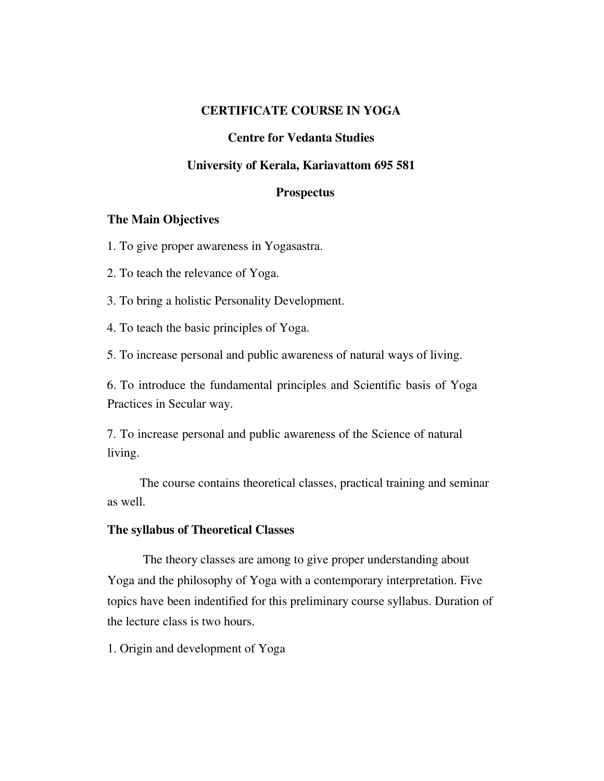# **CERTIFICATE COURSE IN YOGA**

### **Centre for Vedanta Studies**

# **University of Kerala, Kariavattom 695 581**

#### **Prospectus**

#### **The Main Objectives**

1. To give proper awareness in Yogasastra.

2. To teach the relevance of Yoga.

3. To bring a holistic Personality Development.

4. To teach the basic principles of Yoga.

5. To increase personal and public awareness of natural ways of living.

6. To introduce the fundamental principles and Scientific basis of Yoga Practices in Secular way.

7. To increase personal and public awareness of the Science of natural living.

The course contains theoretical classes, practical training and seminar as well.

#### **The syllabus of Theoretical Classes**

The theory classes are among to give proper understanding about Yoga and the philosophy of Yoga with a contemporary interpretation. Five topics have been indentified for this preliminary course syllabus. Duration of the lecture class is two hours.

1. Origin and development of Yoga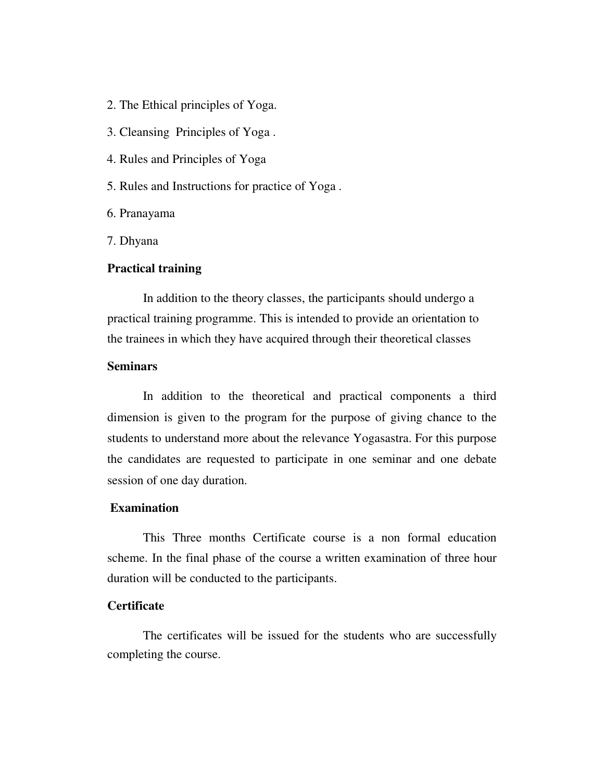- 2. The Ethical principles of Yoga.
- 3. Cleansing Principles of Yoga .
- 4. Rules and Principles of Yoga
- 5. Rules and Instructions for practice of Yoga .

6. Pranayama

7. Dhyana

#### **Practical training**

In addition to the theory classes, the participants should undergo a practical training programme. This is intended to provide an orientation to the trainees in which they have acquired through their theoretical classes

## **Seminars**

In addition to the theoretical and practical components a third dimension is given to the program for the purpose of giving chance to the students to understand more about the relevance Yogasastra. For this purpose the candidates are requested to participate in one seminar and one debate session of one day duration.

#### **Examination**

This Three months Certificate course is a non formal education scheme. In the final phase of the course a written examination of three hour duration will be conducted to the participants.

#### **Certificate**

The certificates will be issued for the students who are successfully completing the course.